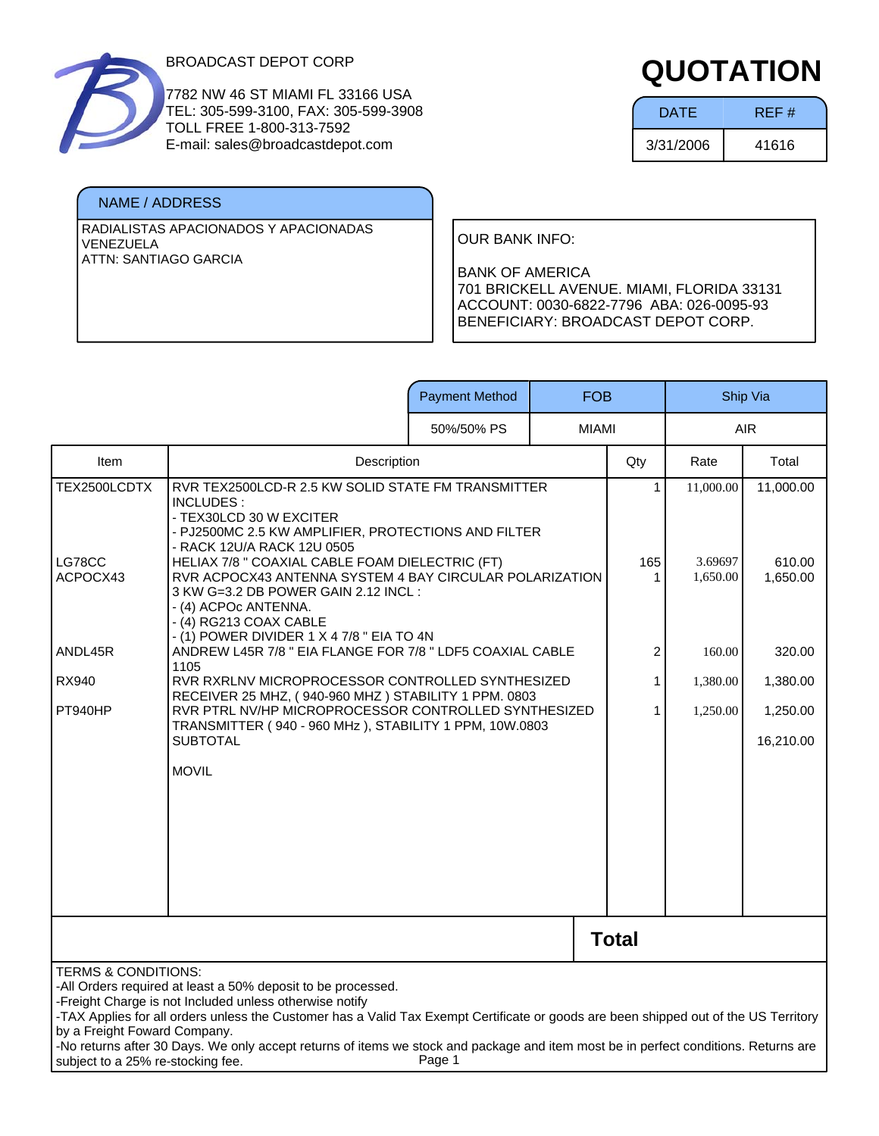

7782 NW 46 ST MIAMI FL 33166 USA TEL: 305-599-3100, FAX: 305-599-3908 TOLL FREE 1-800-313-7592 E-mail: sales@broadcastdepot.com

#### NAME / ADDRESS

RADIALISTAS APACIONADOS Y APACIONADAS VENEZUELA ATTN: SANTIAGO GARCIA

# **QUOTATION**

| <b>DATE</b> | REF#  |
|-------------|-------|
| 3/31/2006   | 41616 |

OUR BANK INFO:

|                                                                                                     |                                                                                                                                                                                                                                                                                                                                                                                                        | <b>Payment Method</b> | <b>FOB</b>   |                |                     | Ship Via           |
|-----------------------------------------------------------------------------------------------------|--------------------------------------------------------------------------------------------------------------------------------------------------------------------------------------------------------------------------------------------------------------------------------------------------------------------------------------------------------------------------------------------------------|-----------------------|--------------|----------------|---------------------|--------------------|
|                                                                                                     |                                                                                                                                                                                                                                                                                                                                                                                                        | 50%/50% PS            | <b>MIAMI</b> |                |                     | <b>AIR</b>         |
| Item                                                                                                | Description                                                                                                                                                                                                                                                                                                                                                                                            |                       |              | Qty            | Rate                | Total              |
| TEX2500LCDTX                                                                                        | RVR TEX2500LCD-R 2.5 KW SOLID STATE FM TRANSMITTER<br>INCLUDES:                                                                                                                                                                                                                                                                                                                                        |                       |              | 1              | 11,000.00           | 11,000.00          |
| LG78CC<br>ACPOCX43                                                                                  | - TEX30LCD 30 W EXCITER<br>- PJ2500MC 2.5 KW AMPLIFIER, PROTECTIONS AND FILTER<br>- RACK 12U/A RACK 12U 0505<br>HELIAX 7/8 " COAXIAL CABLE FOAM DIELECTRIC (FT)<br>RVR ACPOCX43 ANTENNA SYSTEM 4 BAY CIRCULAR POLARIZATION<br>3 KW G=3.2 DB POWER GAIN 2.12 INCL:<br>- (4) ACPOc ANTENNA.<br>- (4) RG213 COAX CABLE                                                                                    |                       |              | 165<br>1       | 3.69697<br>1,650.00 | 610.00<br>1,650.00 |
| ANDL45R                                                                                             | - (1) POWER DIVIDER 1 X 4 7/8 " EIA TO 4N<br>ANDREW L45R 7/8 " EIA FLANGE FOR 7/8 " LDF5 COAXIAL CABLE                                                                                                                                                                                                                                                                                                 |                       |              | $\overline{c}$ | 160.00              | 320.00             |
| <b>RX940</b>                                                                                        | 1105<br>RVR RXRLNV MICROPROCESSOR CONTROLLED SYNTHESIZED                                                                                                                                                                                                                                                                                                                                               |                       |              | 1              | 1,380.00            | 1,380.00           |
| PT940HP                                                                                             | RECEIVER 25 MHZ, (940-960 MHZ) STABILITY 1 PPM. 0803<br>RVR PTRL NV/HP MICROPROCESSOR CONTROLLED SYNTHESIZED<br>TRANSMITTER (940 - 960 MHz), STABILITY 1 PPM, 10W.0803                                                                                                                                                                                                                                 |                       |              | 1              | 1,250.00            | 1,250.00           |
|                                                                                                     | <b>SUBTOTAL</b>                                                                                                                                                                                                                                                                                                                                                                                        |                       |              |                |                     | 16,210.00          |
|                                                                                                     | <b>MOVIL</b>                                                                                                                                                                                                                                                                                                                                                                                           |                       |              |                |                     |                    |
| <b>Total</b>                                                                                        |                                                                                                                                                                                                                                                                                                                                                                                                        |                       |              |                |                     |                    |
| <b>TERMS &amp; CONDITIONS:</b><br>by a Freight Foward Company.<br>subject to a 25% re-stocking fee. | -All Orders required at least a 50% deposit to be processed.<br>-Freight Charge is not Included unless otherwise notify<br>-TAX Applies for all orders unless the Customer has a Valid Tax Exempt Certificate or goods are been shipped out of the US Territory<br>-No returns after 30 Days. We only accept returns of items we stock and package and item most be in perfect conditions. Returns are | Page 1                |              |                |                     |                    |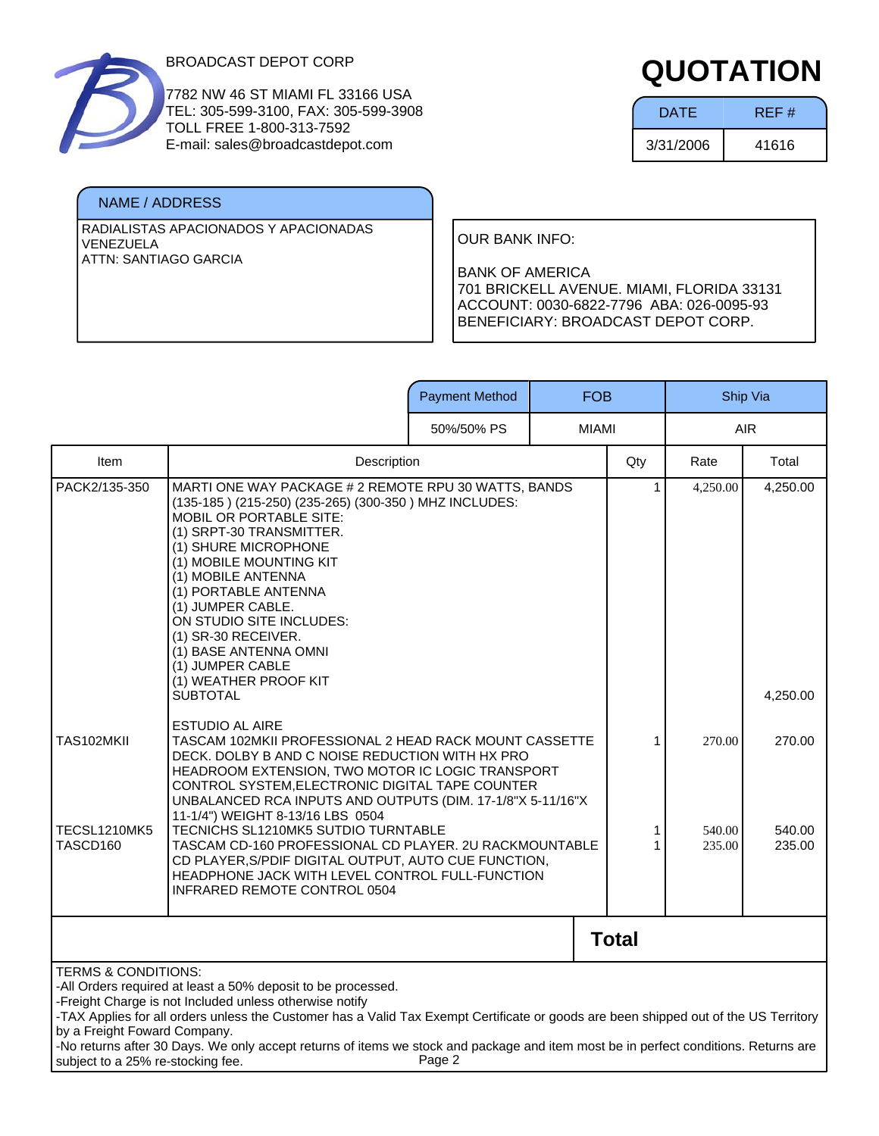

7782 NW 46 ST MIAMI FL 33166 USA TEL: 305-599-3100, FAX: 305-599-3908 TOLL FREE 1-800-313-7592 E-mail: sales@broadcastdepot.com

#### NAME / ADDRESS

RADIALISTAS APACIONADOS Y APACIONADAS VENEZUELA ATTN: SANTIAGO GARCIA

# **QUOTATION**

| <b>DATE</b> | REF#  |
|-------------|-------|
| 3/31/2006   | 41616 |

OUR BANK INFO:

|                                                                                                                                                                                                                                                                                                                                                                                                                                                                                                                         |                                                                                                                                                                                                                                                                                                                                                                                                                            | <b>Payment Method</b> | <b>FOB</b>   |              |                  | Ship Via         |
|-------------------------------------------------------------------------------------------------------------------------------------------------------------------------------------------------------------------------------------------------------------------------------------------------------------------------------------------------------------------------------------------------------------------------------------------------------------------------------------------------------------------------|----------------------------------------------------------------------------------------------------------------------------------------------------------------------------------------------------------------------------------------------------------------------------------------------------------------------------------------------------------------------------------------------------------------------------|-----------------------|--------------|--------------|------------------|------------------|
|                                                                                                                                                                                                                                                                                                                                                                                                                                                                                                                         |                                                                                                                                                                                                                                                                                                                                                                                                                            | 50%/50% PS            | <b>MIAMI</b> |              |                  | <b>AIR</b>       |
| Item                                                                                                                                                                                                                                                                                                                                                                                                                                                                                                                    | Description                                                                                                                                                                                                                                                                                                                                                                                                                |                       |              | Qty          | Rate             | Total            |
| PACK2/135-350                                                                                                                                                                                                                                                                                                                                                                                                                                                                                                           | MARTI ONE WAY PACKAGE # 2 REMOTE RPU 30 WATTS, BANDS<br>(135-185) (215-250) (235-265) (300-350) MHZ INCLUDES:<br><b>MOBIL OR PORTABLE SITE:</b><br>(1) SRPT-30 TRANSMITTER.<br>(1) SHURE MICROPHONE<br>(1) MOBILE MOUNTING KIT<br>(1) MOBILE ANTENNA<br>(1) PORTABLE ANTENNA<br>(1) JUMPER CABLE.<br>ON STUDIO SITE INCLUDES:<br>(1) SR-30 RECEIVER.<br>(1) BASE ANTENNA OMNI<br>(1) JUMPER CABLE<br>(1) WEATHER PROOF KIT |                       |              | 1            | 4,250.00         | 4,250.00         |
|                                                                                                                                                                                                                                                                                                                                                                                                                                                                                                                         | <b>SUBTOTAL</b>                                                                                                                                                                                                                                                                                                                                                                                                            |                       |              |              |                  | 4,250.00         |
| TAS102MKII                                                                                                                                                                                                                                                                                                                                                                                                                                                                                                              | <b>ESTUDIO AL AIRE</b><br>TASCAM 102MKII PROFESSIONAL 2 HEAD RACK MOUNT CASSETTE<br>DECK. DOLBY B AND C NOISE REDUCTION WITH HX PRO<br>HEADROOM EXTENSION, TWO MOTOR IC LOGIC TRANSPORT<br>CONTROL SYSTEM, ELECTRONIC DIGITAL TAPE COUNTER<br>UNBALANCED RCA INPUTS AND OUTPUTS (DIM. 17-1/8"X 5-11/16"X<br>11-1/4") WEIGHT 8-13/16 LBS 0504                                                                               |                       |              | 1            | 270.00           | 270.00           |
| TECSL1210MK5<br>TASCD160                                                                                                                                                                                                                                                                                                                                                                                                                                                                                                | TECNICHS SL1210MK5 SUTDIO TURNTABLE<br>TASCAM CD-160 PROFESSIONAL CD PLAYER. 2U RACKMOUNTABLE<br>CD PLAYER, S/PDIF DIGITAL OUTPUT, AUTO CUE FUNCTION,<br>HEADPHONE JACK WITH LEVEL CONTROL FULL-FUNCTION<br>INFRARED REMOTE CONTROL 0504                                                                                                                                                                                   |                       |              | 1            | 540.00<br>235.00 | 540.00<br>235.00 |
|                                                                                                                                                                                                                                                                                                                                                                                                                                                                                                                         |                                                                                                                                                                                                                                                                                                                                                                                                                            |                       |              | <b>Total</b> |                  |                  |
| <b>TERMS &amp; CONDITIONS:</b><br>-All Orders required at least a 50% deposit to be processed.<br>-Freight Charge is not Included unless otherwise notify<br>-TAX Applies for all orders unless the Customer has a Valid Tax Exempt Certificate or goods are been shipped out of the US Territory<br>by a Freight Foward Company.<br>-No returns after 30 Days. We only accept returns of items we stock and package and item most be in perfect conditions. Returns are<br>Page 2<br>subject to a 25% re-stocking fee. |                                                                                                                                                                                                                                                                                                                                                                                                                            |                       |              |              |                  |                  |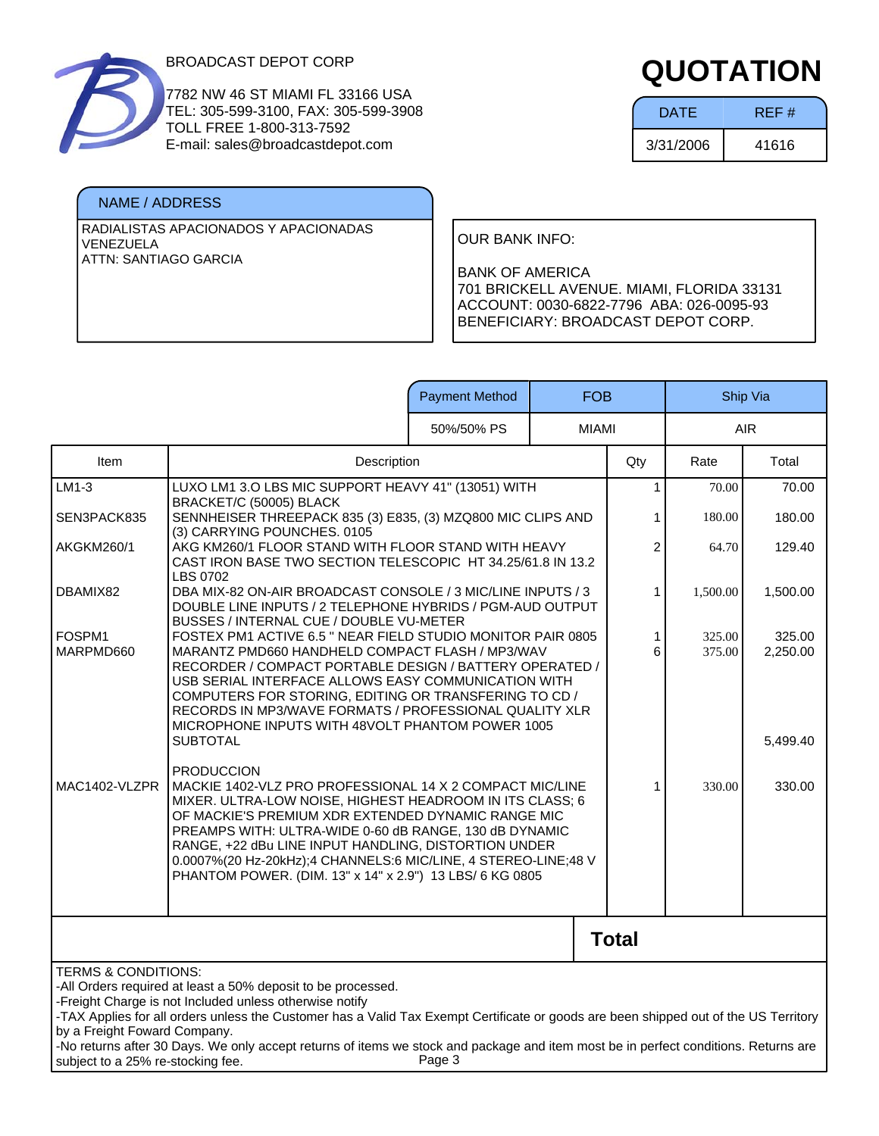

7782 NW 46 ST MIAMI FL 33166 USA TEL: 305-599-3100, FAX: 305-599-3908 TOLL FREE 1-800-313-7592 E-mail: sales@broadcastdepot.com

#### NAME / ADDRESS

RADIALISTAS APACIONADOS Y APACIONADAS VENEZUELA ATTN: SANTIAGO GARCIA

## **QUOTATION**

| <b>DATE</b> | REF#  |
|-------------|-------|
| 3/31/2006   | 41616 |

OUR BANK INFO:

|                                                                                                                                                                                                                                                                                                                                                                                                                                                                                                                         |                                                                                                                                                                                                                                                                                                                                                                                                                                                 | <b>Payment Method</b> | <b>FOB</b>   |                |                  | Ship Via           |
|-------------------------------------------------------------------------------------------------------------------------------------------------------------------------------------------------------------------------------------------------------------------------------------------------------------------------------------------------------------------------------------------------------------------------------------------------------------------------------------------------------------------------|-------------------------------------------------------------------------------------------------------------------------------------------------------------------------------------------------------------------------------------------------------------------------------------------------------------------------------------------------------------------------------------------------------------------------------------------------|-----------------------|--------------|----------------|------------------|--------------------|
|                                                                                                                                                                                                                                                                                                                                                                                                                                                                                                                         |                                                                                                                                                                                                                                                                                                                                                                                                                                                 | 50%/50% PS            | <b>MIAMI</b> |                | <b>AIR</b>       |                    |
| Item                                                                                                                                                                                                                                                                                                                                                                                                                                                                                                                    | Description                                                                                                                                                                                                                                                                                                                                                                                                                                     |                       |              | Qty            | Rate             | Total              |
| $LM1-3$                                                                                                                                                                                                                                                                                                                                                                                                                                                                                                                 | LUXO LM1 3.0 LBS MIC SUPPORT HEAVY 41" (13051) WITH<br>BRACKET/C (50005) BLACK                                                                                                                                                                                                                                                                                                                                                                  |                       |              | 1              | 70.00            | 70.00              |
| SEN3PACK835                                                                                                                                                                                                                                                                                                                                                                                                                                                                                                             | SENNHEISER THREEPACK 835 (3) E835, (3) MZQ800 MIC CLIPS AND                                                                                                                                                                                                                                                                                                                                                                                     |                       |              | 1              | 180.00           | 180.00             |
| AKGKM260/1                                                                                                                                                                                                                                                                                                                                                                                                                                                                                                              | (3) CARRYING POUNCHES. 0105<br>AKG KM260/1 FLOOR STAND WITH FLOOR STAND WITH HEAVY<br>CAST IRON BASE TWO SECTION TELESCOPIC HT 34.25/61.8 IN 13.2                                                                                                                                                                                                                                                                                               |                       |              | $\overline{c}$ | 64.70            | 129.40             |
| DBAMIX82                                                                                                                                                                                                                                                                                                                                                                                                                                                                                                                | <b>LBS 0702</b><br>DBA MIX-82 ON-AIR BROADCAST CONSOLE / 3 MIC/LINE INPUTS / 3<br>DOUBLE LINE INPUTS / 2 TELEPHONE HYBRIDS / PGM-AUD OUTPUT<br>BUSSES / INTERNAL CUE / DOUBLE VU-METER                                                                                                                                                                                                                                                          |                       |              | 1              | 1,500.00         | 1,500.00           |
| FOSPM1<br>MARPMD660                                                                                                                                                                                                                                                                                                                                                                                                                                                                                                     | FOSTEX PM1 ACTIVE 6.5 " NEAR FIELD STUDIO MONITOR PAIR 0805<br>MARANTZ PMD660 HANDHELD COMPACT FLASH / MP3/WAV<br>RECORDER / COMPACT PORTABLE DESIGN / BATTERY OPERATED /<br>USB SERIAL INTERFACE ALLOWS EASY COMMUNICATION WITH<br>COMPUTERS FOR STORING, EDITING OR TRANSFERING TO CD /<br>RECORDS IN MP3/WAVE FORMATS / PROFESSIONAL QUALITY XLR<br>MICROPHONE INPUTS WITH 48VOLT PHANTOM POWER 1005                                         |                       |              | 1<br>6         | 325.00<br>375.00 | 325.00<br>2,250.00 |
|                                                                                                                                                                                                                                                                                                                                                                                                                                                                                                                         | <b>SUBTOTAL</b>                                                                                                                                                                                                                                                                                                                                                                                                                                 |                       |              |                |                  | 5,499.40           |
| MAC1402-VLZPR                                                                                                                                                                                                                                                                                                                                                                                                                                                                                                           | <b>PRODUCCION</b><br>MACKIE 1402-VLZ PRO PROFESSIONAL 14 X 2 COMPACT MIC/LINE<br>MIXER. ULTRA-LOW NOISE, HIGHEST HEADROOM IN ITS CLASS; 6<br>OF MACKIE'S PREMIUM XDR EXTENDED DYNAMIC RANGE MIC<br>PREAMPS WITH: ULTRA-WIDE 0-60 dB RANGE, 130 dB DYNAMIC<br>RANGE, +22 dBu LINE INPUT HANDLING, DISTORTION UNDER<br>0.0007%(20 Hz-20kHz);4 CHANNELS:6 MIC/LINE, 4 STEREO-LINE;48 V<br>PHANTOM POWER. (DIM. 13" x 14" x 2.9") 13 LBS/ 6 KG 0805 |                       |              | 1              | 330.00           | 330.00             |
|                                                                                                                                                                                                                                                                                                                                                                                                                                                                                                                         |                                                                                                                                                                                                                                                                                                                                                                                                                                                 |                       |              | <b>Total</b>   |                  |                    |
| <b>TERMS &amp; CONDITIONS:</b><br>-All Orders required at least a 50% deposit to be processed.<br>-Freight Charge is not Included unless otherwise notify<br>-TAX Applies for all orders unless the Customer has a Valid Tax Exempt Certificate or goods are been shipped out of the US Territory<br>by a Freight Foward Company.<br>-No returns after 30 Days. We only accept returns of items we stock and package and item most be in perfect conditions. Returns are<br>Page 3<br>subject to a 25% re-stocking fee. |                                                                                                                                                                                                                                                                                                                                                                                                                                                 |                       |              |                |                  |                    |